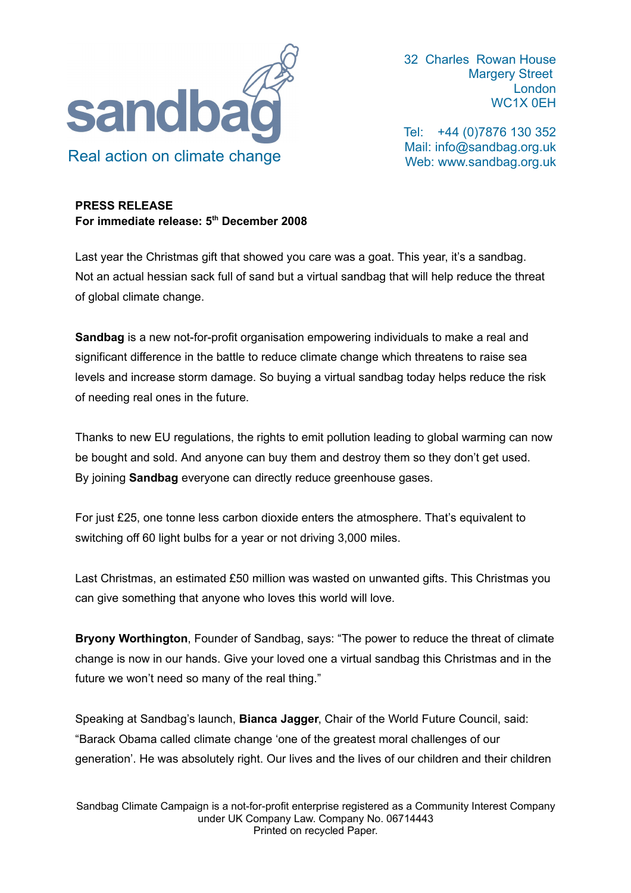

32 Charles Rowan House Margery Street London WC1X 0EH

Tel: +44 (0)7876 130 352 Mail: [info@sandbag.org.uk](mailto:info@sandbag.org.uk) Web: www.sandbag.org.uk

## **PRESS RELEASE For immediate release: 5 th December 2008**

Last year the Christmas gift that showed you care was a goat. This year, it's a sandbag. Not an actual hessian sack full of sand but a virtual sandbag that will help reduce the threat of global climate change.

**Sandbag** is a new not-for-profit organisation empowering individuals to make a real and significant difference in the battle to reduce climate change which threatens to raise sea levels and increase storm damage. So buying a virtual sandbag today helps reduce the risk of needing real ones in the future.

Thanks to new EU regulations, the rights to emit pollution leading to global warming can now be bought and sold. And anyone can buy them and destroy them so they don't get used. By joining **Sandbag** everyone can directly reduce greenhouse gases.

For just £25, one tonne less carbon dioxide enters the atmosphere. That's equivalent to switching off 60 light bulbs for a year or not driving 3,000 miles.

Last Christmas, an estimated £50 million was wasted on unwanted gifts. This Christmas you can give something that anyone who loves this world will love.

**Bryony Worthington**, Founder of Sandbag, says: "The power to reduce the threat of climate change is now in our hands. Give your loved one a virtual sandbag this Christmas and in the future we won't need so many of the real thing."

Speaking at Sandbag's launch, **Bianca Jagger**, Chair of the World Future Council, said: "Barack Obama called climate change 'one of the greatest moral challenges of our generation'. He was absolutely right. Our lives and the lives of our children and their children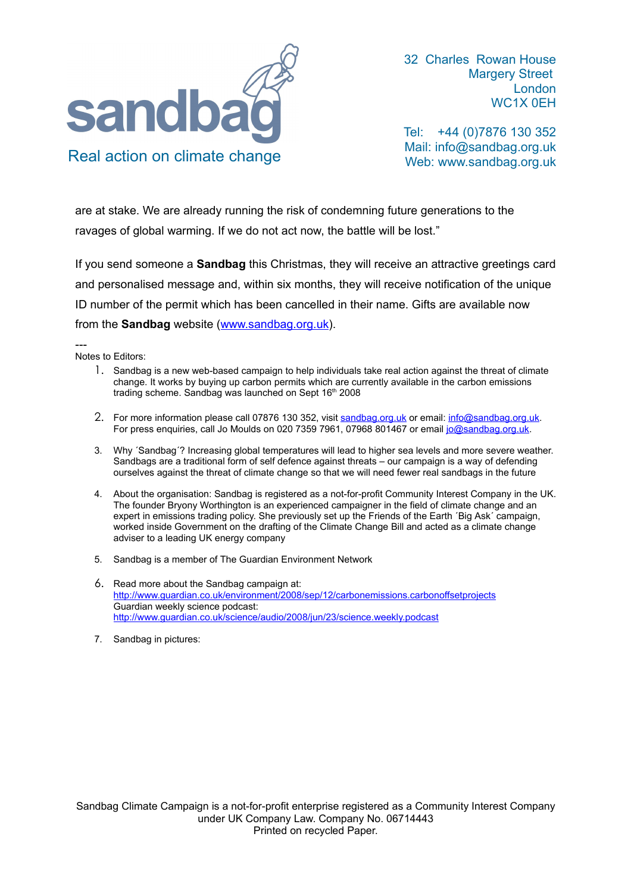

32 Charles Rowan House Margery Street London WC1X 0EH

Tel: +44 (0)7876 130 352 Mail: [info@sandbag.org.uk](mailto:info@sandbag.org.uk) Web: www.sandbag.org.uk

are at stake. We are already running the risk of condemning future generations to the ravages of global warming. If we do not act now, the battle will be lost."

If you send someone a **Sandbag** this Christmas, they will receive an attractive greetings card and personalised message and, within six months, they will receive notification of the unique ID number of the permit which has been cancelled in their name. Gifts are available now from the **Sandbag** website [\(www.sandbag.org.uk\)](http://www.sandbag.org.uk/).

---

Notes to Editors:

- 1. Sandbag is a new web-based campaign to help individuals take real action against the threat of climate change. It works by buying up carbon permits which are currently available in the carbon emissions trading scheme. Sandbag was launched on Sept 16<sup>th</sup> 2008
- 2. For more information please call 07876 130 352, visit [sandbag.org.uk](mailto:sandbag.org.uk) or email: [info@sandbag.org.uk.](mailto:info@sandbag.org.uk) For press enquiries, call Jo Moulds on 020 7359 7961, 07968 801467 or email [jo@sandbag.org.uk.](mailto:jo@sandbag.org.uk)
- 3. Why ´Sandbag´? Increasing global temperatures will lead to higher sea levels and more severe weather. Sandbags are a traditional form of self defence against threats – our campaign is a way of defending ourselves against the threat of climate change so that we will need fewer real sandbags in the future
- 4. About the organisation: Sandbag is registered as a not-for-profit Community Interest Company in the UK. The founder Bryony Worthington is an experienced campaigner in the field of climate change and an expert in emissions trading policy. She previously set up the Friends of the Earth ´Big Ask´ campaign, worked inside Government on the drafting of the Climate Change Bill and acted as a climate change adviser to a leading UK energy company
- 5. Sandbag is a member of The Guardian Environment Network
- 6. Read more about the Sandbag campaign at: <http://www.guardian.co.uk/environment/2008/sep/12/carbonemissions.carbonoffsetprojects> Guardian weekly science podcast: <http://www.guardian.co.uk/science/audio/2008/jun/23/science.weekly.podcast>
- 7. Sandbag in pictures: